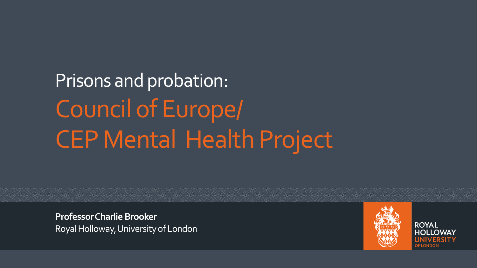Prisons and probation: Council of Europe/ CEP Mental Health Project

**ProfessorCharlie Brooker** Royal Holloway, University of London



**ROYAL** 

**YAWA LIOF**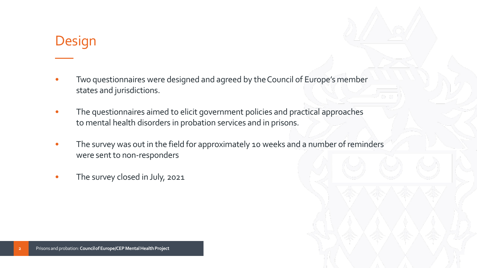### Design

- Two questionnaires were designed and agreed by the Council of Europe's member states and jurisdictions.
- The questionnaires aimed to elicit government policies and practical approaches to mental health disorders in probation services and in prisons.
- The survey was out in the field for approximately 10 weeks and a number of reminders were sent to non-responders
- The survey closed in July, 2021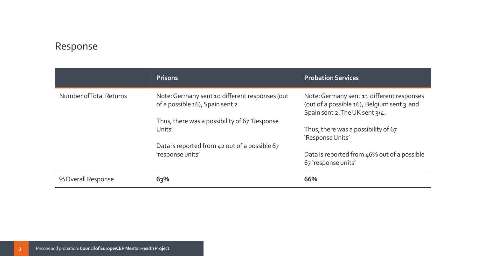#### Response

|                         | <b>Prisons</b>                                                                    | <b>Probation Services</b>                                                                                                 |
|-------------------------|-----------------------------------------------------------------------------------|---------------------------------------------------------------------------------------------------------------------------|
| Number of Total Returns | Note: Germany sent 10 different responses (out<br>of a possible 16), Spain sent 2 | Note: Germany sent 11 different responses<br>(out of a possible 16), Belgium sent 3 and<br>Spain sent 2. The UK sent 3/4. |
|                         | Thus, there was a possibility of 67 'Response                                     |                                                                                                                           |
|                         | Units'                                                                            | Thus, there was a possibility of 67<br>'Response Units'                                                                   |
|                         | Data is reported from 42 out of a possible 67                                     |                                                                                                                           |
|                         | 'response units'                                                                  | Data is reported from 46% out of a possible<br>67 'response units'                                                        |
| % Overall Response      | 63%                                                                               | 66%                                                                                                                       |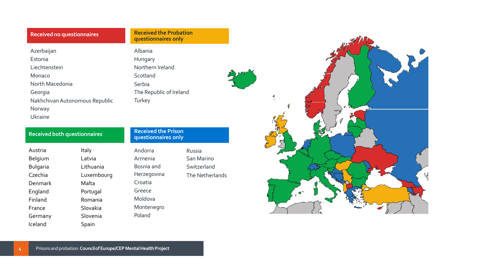#### **Received no questionnaires**

Azerbaijan Estonia Liechtenstein Monaco North Macedonia Georgia NakhchivanAutonomous Republic Norway Ukraine

| <b>Received both questionnaires</b> |            |             | <b>Received the Prison</b><br>questionnaires only |  |
|-------------------------------------|------------|-------------|---------------------------------------------------|--|
| Austria                             | Italy      | Andorra     | Russia                                            |  |
| Belgium                             | Latvia     | Armenia     | San Marino                                        |  |
| <b>Bulgaria</b>                     | Lithuania  | Bosnia and  | Switzerland                                       |  |
| Czechia                             | Luxembourg | Herzegovina | The Netherlands                                   |  |
| Denmark                             | Malta      | Croatia     |                                                   |  |
| England                             | Portugal   | Greece      |                                                   |  |
| Finland                             | Romania    | Moldova     |                                                   |  |
| France                              | Slovakia   | Montenegro  |                                                   |  |
| Germany                             | Slovenia   | Poland      |                                                   |  |
| Iceland                             | Spain      |             |                                                   |  |

**Received the Probation questionnaires only**

Albania Hungary

Scotland Serbia

**Turkey** 

Northern Ireland

The Republic of Ireland

# $\mathcal{R}$ Received thePrison questionnaires only E<br>T  $\left(\sqrt{3}\right)^{2}$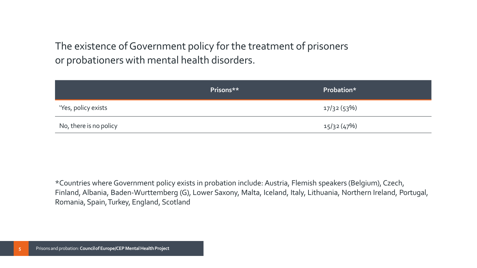The existence of Government policy for the treatment of prisoners or probationers with mental health disorders.

|                        | Prisons** | Probation*  |
|------------------------|-----------|-------------|
| 'Yes, policy exists    |           | 17/32 (53%) |
| No, there is no policy |           | 15/32 (47%) |

\*Countries where Government policy exists in probation include: Austria, Flemish speakers (Belgium), Czech, Finland, Albania, Baden-Wurttemberg (G), Lower Saxony, Malta, Iceland, Italy, Lithuania, Northern Ireland, Portugal, Romania, Spain,Turkey, England, Scotland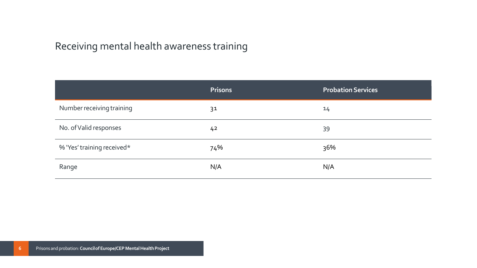#### Receiving mental health awareness training

|                            | <b>Prisons</b> | <b>Probation Services</b> |
|----------------------------|----------------|---------------------------|
| Number receiving training  | 31             | 14                        |
| No. of Valid responses     | 4 <sup>2</sup> | 39                        |
| % 'Yes' training received* | 74%            | 36%                       |
| Range                      | N/A            | N/A                       |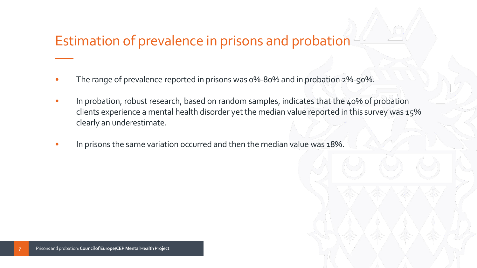## Estimation of prevalence in prisons and probation

- The range of prevalence reported in prisons was 0%-80% and in probation 2%-90%.
- In probation, robust research, based on random samples, indicates that the 40% of probation clients experience a mental health disorder yet the median value reported in this survey was 15% clearly an underestimate.
- In prisons the same variation occurred and then the median value was 18%.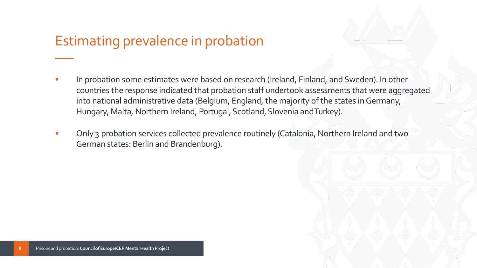## Estimating prevalence in probation

- In probation some estimates were based on research (Ireland, Finland, and Sweden). In other countries the response indicated that probation staff undertook assessments that were aggregated into national administrative data (Belgium, England, the majority of the states in Germany, Hungary, Malta, Northern Ireland, Portugal, Scotland, Slovenia and Turkey).
- Only 3 probation services collected prevalence routinely (Catalonia, Northern Ireland and two German states: Berlin and Brandenburg).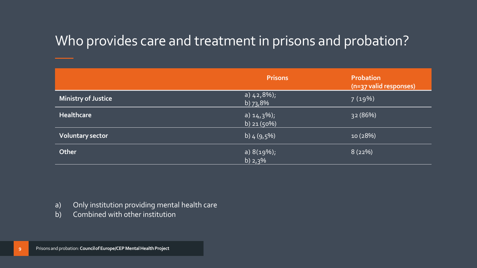## Who provides care and treatment in prisons and probation?

|                            | <b>Prisons</b>                | <b>Probation</b><br>(n=37 valid responses) |
|----------------------------|-------------------------------|--------------------------------------------|
| <b>Ministry of Justice</b> | a) $42,8\%$ ;<br>b) $73,8\%$  | 7(19%)                                     |
| <b>Healthcare</b>          | a) $14,3\%$ ;<br>b) $21(50%)$ | 32(86%)                                    |
| <b>Voluntary sector</b>    | b) $4(9.5\%)$                 | 10(28%)                                    |
| Other                      | a) $8(19%)$ ;<br>b) $2,3\%$   | 8(22%)                                     |

- a) Only institution providing mental health care
- b) Combined with other institution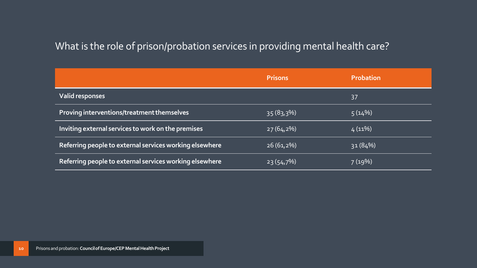#### What is the role of prison/probation services in providing mental health care?

|                                                         | <b>Prisons</b> | <b>Probation</b> |
|---------------------------------------------------------|----------------|------------------|
| <b>Valid responses</b>                                  |                | 37               |
| Proving interventions/treatment themselves              | $35(83,3\%)$   | 5(14%)           |
| Inviting external services to work on the premises      | $27(64,2\%)$   | $4(11\%)$        |
| Referring people to external services working elsewhere | $26(61,2\%)$   | 31(84%)          |
| Referring people to external services working elsewhere | $23(54,7\%)$   | 7(19%)           |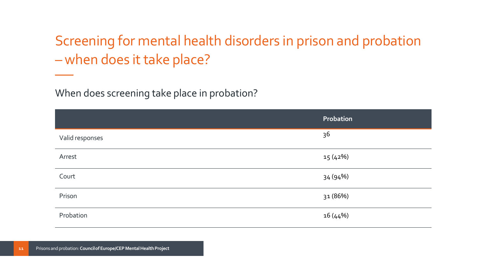Screening for mental health disorders in prison and probation – when does it take place?

When does screening take place in probation?

|                 | Probation |
|-----------------|-----------|
| Valid responses | 36        |
| Arrest          | 15(42%)   |
| Court           | 34 (94%)  |
| Prison          | 31 (86%)  |
| Probation       | 16(44%)   |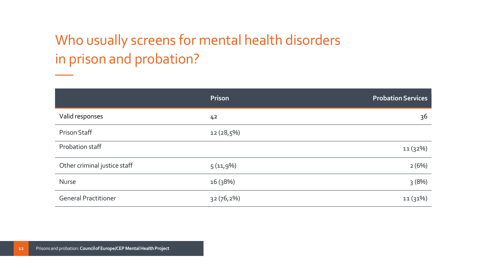## Who usually screens for mental health disorders in prison and probation?

|                              | Prison         | <b>Probation Services</b> |
|------------------------------|----------------|---------------------------|
| Valid responses              | 4 <sup>2</sup> | 36                        |
| <b>Prison Staff</b>          | $12(28,5\%)$   |                           |
| Probation staff              |                | 11 (32%)                  |
| Other criminal justice staff | 5(11,9%)       | 2(6%)                     |
| Nurse                        | 16 (38%)       | 3(8%)                     |
| <b>General Practitioner</b>  | $32(76,2\%)$   | 11(31%)                   |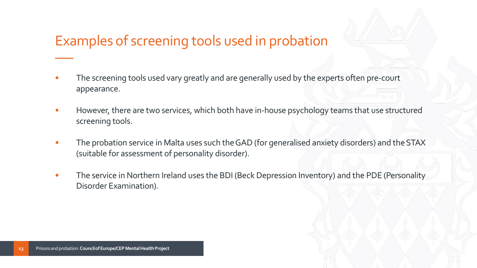## Examples of screening tools used in probation

- The screening tools used vary greatly and are generally used by the experts often pre-court appearance.
- However, there are two services, which both have in-house psychology teams that use structured screening tools.
- The probation service in Malta uses such the GAD (for generalised anxiety disorders) and the STAX (suitable for assessment of personality disorder).
- The service in Northern Ireland uses the BDI (Beck Depression Inventory) and the PDE (Personality Disorder Examination).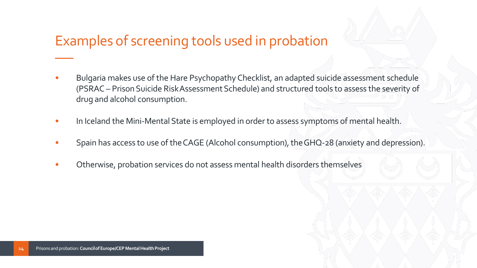## Examples of screening tools used in probation

- Bulgaria makes use of the Hare Psychopathy Checklist, an adapted suicide assessment schedule (PSRAC – Prison Suicide RiskAssessment Schedule) and structured tools to assess the severity of drug and alcohol consumption.
- In Iceland the Mini-Mental State is employed in order to assess symptoms of mental health.
- Spain has access to use of the CAGE (Alcohol consumption), the GHQ-28 (anxiety and depression).
- Otherwise, probation services do not assess mental health disorders themselves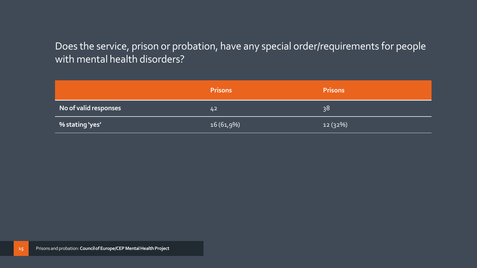#### Does the service, prison or probation, have any special order/requirements for people with mental health disorders?

|                       | <b>Prisons</b> | <b>Prisons</b> |
|-----------------------|----------------|----------------|
| No of valid responses | 42             | 38             |
| % stating 'yes'       | $16(61,9\%)$   | 12(32%)        |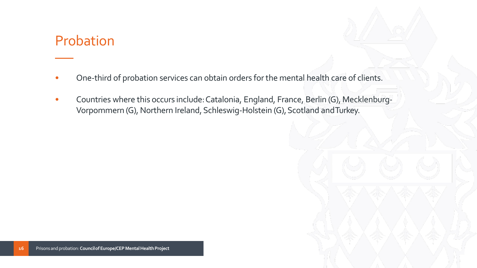#### Probation

- One-third of probation services can obtain orders forthe mental health care of clients.
- Countries where this occurs include:Catalonia, England, France, Berlin (G), Mecklenburg-Vorpommern (G), Northern Ireland, Schleswig-Holstein (G), Scotland and Turkey.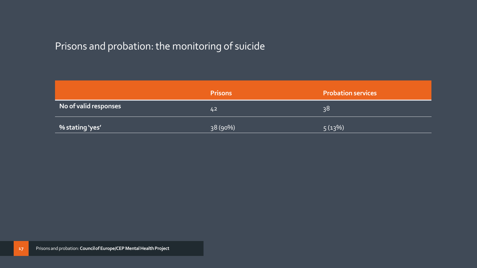#### Prisons and probation: the monitoring of suicide

|                       | <b>Prisons</b> | <b>Probation services</b> |
|-----------------------|----------------|---------------------------|
| No of valid responses | 42             | 38                        |
| % stating 'yes'       | 38 (90%)       | 5(13%)                    |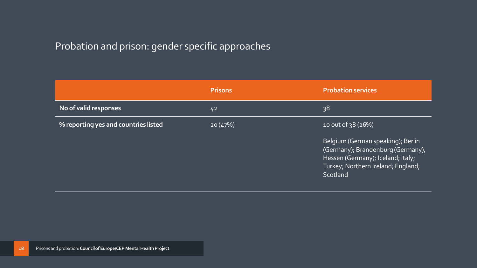#### Probation and prison: gender specific approaches

|                                             | <b>Prisons</b> | <b>Probation services</b>                                                                                                                                     |
|---------------------------------------------|----------------|---------------------------------------------------------------------------------------------------------------------------------------------------------------|
| No of valid responses                       | 42             | 38                                                                                                                                                            |
| <b>% reporting yes and countries listed</b> | 20(47%)        | 10 out of 38 (26%)                                                                                                                                            |
|                                             |                | Belgium (German speaking); Berlin<br>(Germany); Brandenburg (Germany),<br>Hessen (Germany); Iceland; Italy;<br>Turkey; Northern Ireland; England;<br>Scotland |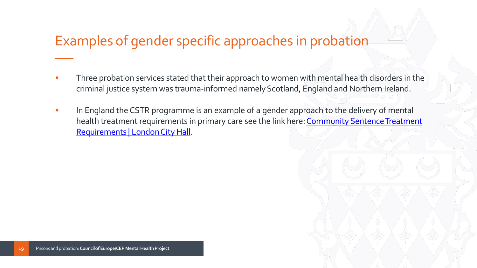## Examples of gender specific approaches in probation

- Three probation services stated that their approach to women with mental health disorders in the criminal justice system was trauma-informed namely Scotland, England and Northern Ireland.
- In England the CSTR programme is an example of a gender approach to the delivery of mental health treatment requirements in primary care see the link here: Community Sentence Treatment Requirements | London City Hall.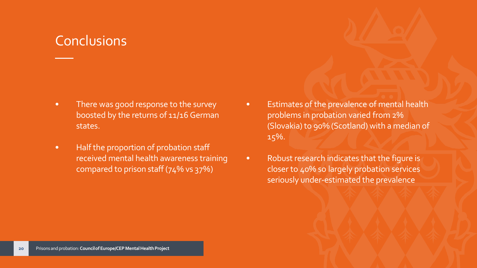- There was good response to the survey boosted by the returns of 11/16 German states.
- Half the proportion of probation staff received mental health awareness training compared to prison staff (74% vs 37%)
- Estimates of the prevalence of mental health problems in probation varied from 2% (Slovakia) to 90% (Scotland) with a median of 15%.
- Robust research indicates that the figure is closer to 40% so largely probation services seriously under-estimated the prevalence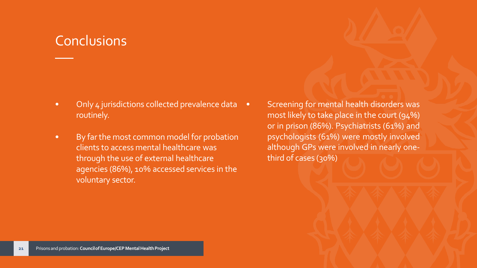- Only 4 jurisdictions collected prevalence data routinely.
- By farthe most common model for probation clients to access mental healthcare was through the use of external healthcare agencies (86%), 10% accessed services in the voluntary sector.
- Screening for mental health disorders was most likely to take place in the court (94%) or in prison (86%). Psychiatrists (61%) and psychologists (61%) were mostly involved although GPs were involved in nearly onethird of cases (30%)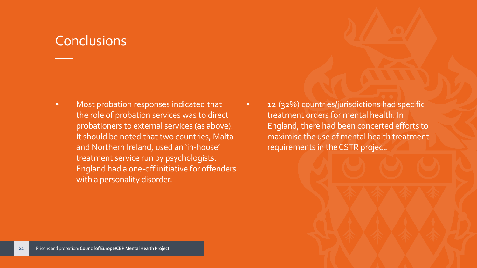- Most probation responses indicated that the role of probation services was to direct probationers to external services (as above). It should be noted that two countries, Malta and Northern Ireland, used an 'in-house' treatment service run by psychologists. England had a one-off initiative for offenders with a personality disorder.
- 12 (32%) countries/jurisdictions had specific treatment orders for mental health. In England, there had been concerted efforts to maximise the use of mental health treatment requirements in theCSTR project.